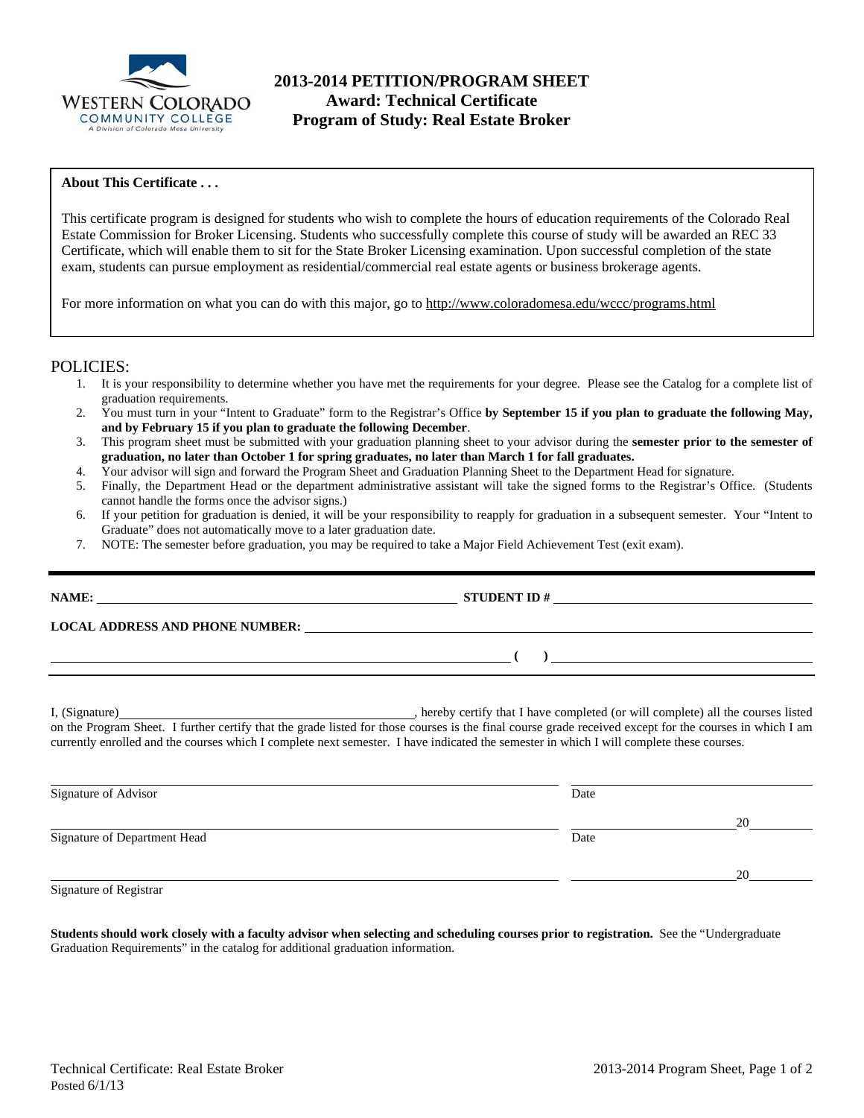

# **2013-2014 PETITION/PROGRAM SHEET Award: Technical Certificate Program of Study: Real Estate Broker**

#### **About This Certificate . . .**

This certificate program is designed for students who wish to complete the hours of education requirements of the Colorado Real Estate Commission for Broker Licensing. Students who successfully complete this course of study will be awarded an REC 33 Certificate, which will enable them to sit for the State Broker Licensing examination. Upon successful completion of the state exam, students can pursue employment as residential/commercial real estate agents or business brokerage agents.

For more information on what you can do with this major, go to http://www.coloradomesa.edu/wccc/programs.html

### POLICIES:

- 1. It is your responsibility to determine whether you have met the requirements for your degree. Please see the Catalog for a complete list of graduation requirements.
- 2. You must turn in your "Intent to Graduate" form to the Registrar's Office **by September 15 if you plan to graduate the following May, and by February 15 if you plan to graduate the following December**.
- 3. This program sheet must be submitted with your graduation planning sheet to your advisor during the **semester prior to the semester of graduation, no later than October 1 for spring graduates, no later than March 1 for fall graduates.**
- 4. Your advisor will sign and forward the Program Sheet and Graduation Planning Sheet to the Department Head for signature.
- 5. Finally, the Department Head or the department administrative assistant will take the signed forms to the Registrar's Office. (Students cannot handle the forms once the advisor signs.)
- 6. If your petition for graduation is denied, it will be your responsibility to reapply for graduation in a subsequent semester. Your "Intent to Graduate" does not automatically move to a later graduation date.
- 7. NOTE: The semester before graduation, you may be required to take a Major Field Achievement Test (exit exam).

| NAME:                                  | <b>STUDENT ID#</b> |
|----------------------------------------|--------------------|
| <b>LOCAL ADDRESS AND PHONE NUMBER:</b> |                    |
|                                        |                    |

I, (Signature) , hereby certify that I have completed (or will complete) all the courses listed on the Program Sheet. I further certify that the grade listed for those courses is the final course grade received except for the courses in which I am currently enrolled and the courses which I complete next semester. I have indicated the semester in which I will complete these courses.

| Date |    |
|------|----|
|      | 20 |
| Date |    |
|      | 20 |
|      |    |

Signature of Registrar

**Students should work closely with a faculty advisor when selecting and scheduling courses prior to registration.** See the "Undergraduate Graduation Requirements" in the catalog for additional graduation information.